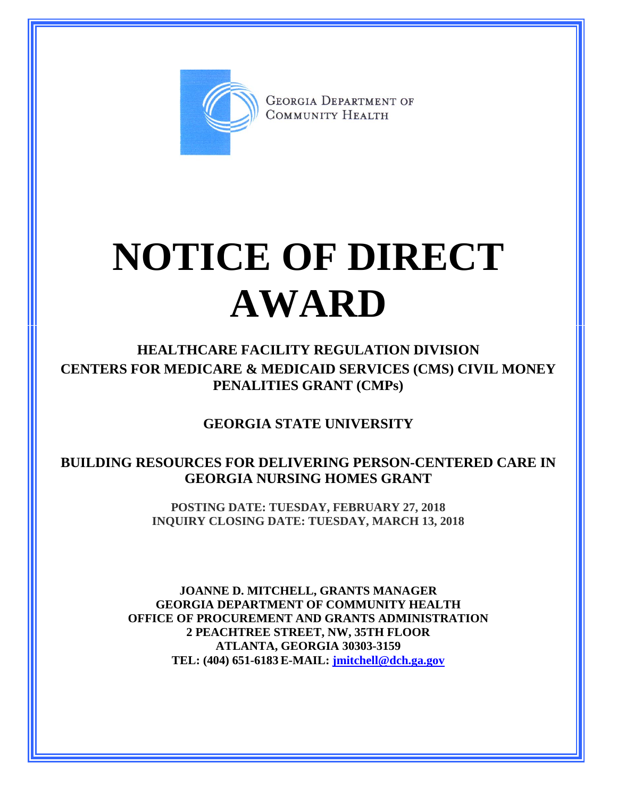

**GEORGIA DEPARTMENT OF** COMMUNITY HEALTH

## **NOTICE OF DIRECT AWARD**

**HEALTHCARE FACILITY REGULATION DIVISION CENTERS FOR MEDICARE & MEDICAID SERVICES (CMS) CIVIL MONEY PENALITIES GRANT (CMPs)**

**GEORGIA STATE UNIVERSITY**

**BUILDING RESOURCES FOR DELIVERING PERSON-CENTERED CARE IN GEORGIA NURSING HOMES GRANT**

> **POSTING DATE: TUESDAY, FEBRUARY 27, 2018 INQUIRY CLOSING DATE: TUESDAY, MARCH 13, 2018**

**JOANNE D. MITCHELL, GRANTS MANAGER GEORGIA DEPARTMENT OF COMMUNITY HEALTH OFFICE OF PROCUREMENT AND GRANTS ADMINISTRATION 2 PEACHTREE STREET, NW, 35TH FLOOR ATLANTA, GEORGIA 30303-3159 TEL: (404) 651-6183 E-MAIL: [jmitchell@dch.ga.gov](mailto:awatson@dch.ga.gov)**